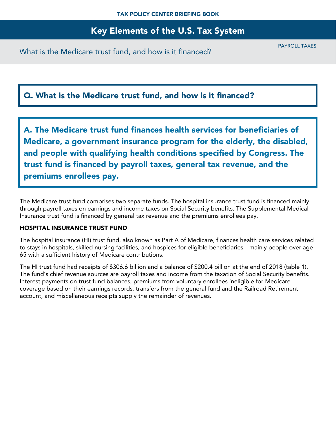## Q. What is the Medicare trust fund, and how is it financed?

A. The Medicare trust fund finances health services for beneficiaries of Medicare, a government insurance program for the elderly, the disabled, and people with qualifying health conditions specified by Congress. The trust fund is financed by payroll taxes, general tax revenue, and the premiums enrollees pay.

The Medicare trust fund comprises two separate funds. The hospital insurance trust fund is financed mainly through payroll taxes on earnings and income taxes on Social Security benefits. The Supplemental Medical Insurance trust fund is financed by general tax revenue and the premiums enrollees pay.

### HOSPITAL INSURANCE TRUST FUND

The hospital insurance (HI) trust fund, also known as Part A of Medicare, finances health care services related to stays in hospitals, skilled nursing facilities, and hospices for eligible beneficiaries—mainly people over age 65 with a sufficient history of Medicare contributions.

The HI trust fund had receipts of \$306.6 billion and a balance of \$200.4 billion at the end of 2018 (table 1). The fund's chief revenue sources are payroll taxes and income from the taxation of Social Security benefits. Interest payments on trust fund balances, premiums from voluntary enrollees ineligible for Medicare coverage based on their earnings records, transfers from the general fund and the Railroad Retirement account, and miscellaneous receipts supply the remainder of revenues.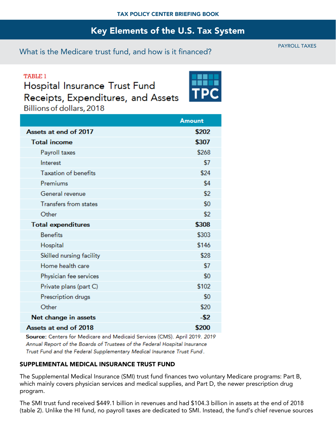## What is the Medicare trust fund, and how is it financed?

**TABLE 1** Hospital Insurance Trust Fund Receipts, Expenditures, and Assets Billions of dollars, 2018

|                              | <b>Amount</b> |
|------------------------------|---------------|
| Assets at end of 2017        | \$202         |
| <b>Total income</b>          | \$307         |
| Payroll taxes                | \$268         |
| Interest                     | \$7           |
| <b>Taxation of benefits</b>  | \$24          |
| Premiums                     | \$4           |
| General revenue              | \$2           |
| <b>Transfers from states</b> | \$0           |
| Other                        | \$2           |
| <b>Total expenditures</b>    | \$308         |
| <b>Benefits</b>              | \$303         |
| Hospital                     | \$146         |
| Skilled nursing facility     | \$28          |
| Home health care             | \$7           |
| Physician fee services       | \$0           |
| Private plans (part C)       | \$102         |
| Prescription drugs           | \$0           |
| Other                        | \$20          |
| Net change in assets         | -\$2          |
| Assets at end of 2018        | \$200         |

Source: Centers for Medicare and Medicaid Services (CMS). April 2019. 2019 Annual Report of the Boards of Trustees of the Federal Hospital Insurance Trust Fund and the Federal Supplementary Medical Insurance Trust Fund.

### SUPPLEMENTAL MEDICAL INSURANCE TRUST FUND

The Supplemental Medical Insurance (SMI) trust fund finances two voluntary Medicare programs: Part B, which mainly covers physician services and medical supplies, and Part D, the newer prescription drug program.

The SMI trust fund received \$449.1 billion in revenues and had \$104.3 billion in assets at the end of 2018 (table 2). Unlike the HI fund, no payroll taxes are dedicated to SMI. Instead, the fund's chief revenue sources

PAYROLL TAXES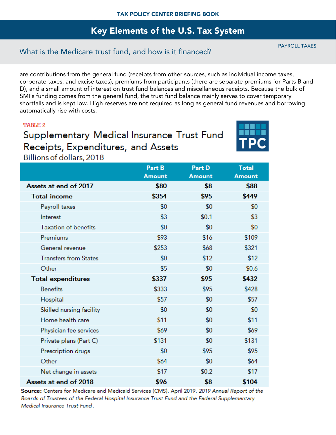## What is the Medicare trust fund, and how is it financed?

are contributions from the general fund (receipts from other sources, such as individual income taxes, corporate taxes, and excise taxes), premiums from participants (there are separate premiums for Parts B and D), and a small amount of interest on trust fund balances and miscellaneous receipts. Because the bulk of SMI's funding comes from the general fund, the trust fund balance mainly serves to cover temporary shortfalls and is kept low. High reserves are not required as long as general fund revenues and borrowing automatically rise with costs.

### **TABLE 2**

# Supplementary Medical Insurance Trust Fund Receipts, Expenditures, and Assets



Billions of dollars, 2018

|                              | Part B<br><b>Amount</b> | Part D<br><b>Amount</b> | <b>Total</b><br><b>Amount</b> |
|------------------------------|-------------------------|-------------------------|-------------------------------|
| Assets at end of 2017        | \$80                    | \$8                     | \$88                          |
| <b>Total income</b>          | \$354                   | \$95                    | \$449                         |
| Payroll taxes                | \$0                     | \$0                     | \$0                           |
| Interest                     | \$3                     | \$0.1                   | \$3                           |
| <b>Taxation of benefits</b>  | \$0                     | \$0                     | \$0                           |
| Premiums                     | \$93                    | \$16                    | \$109                         |
| General revenue              | \$253                   | \$68                    | \$321                         |
| <b>Transfers from States</b> | \$0                     | \$12                    | \$12                          |
| Other                        | \$5                     | \$0                     | \$0.6                         |
| <b>Total expenditures</b>    | \$337                   | \$95                    | \$432                         |
| <b>Benefits</b>              | \$333                   | \$95                    | \$428                         |
| Hospital                     | \$57                    | \$0                     | \$57                          |
| Skilled nursing facility     | \$0                     | \$0                     | \$0                           |
| Home health care             | \$11                    | \$0                     | \$11                          |
| Physician fee services       | \$69                    | \$0                     | \$69                          |
| Private plans (Part C)       | \$131                   | \$0                     | \$131                         |
| Prescription drugs           | \$0                     | \$95                    | \$95                          |
| Other                        | \$64                    | \$0                     | \$64                          |
| Net change in assets         | \$17                    | \$0.2                   | \$17                          |
| Assets at end of 2018        | \$96                    | \$8                     | \$104                         |

Source: Centers for Medicare and Medicaid Services (CMS). April 2019. 2019 Annual Report of the Boards of Trustees of the Federal Hospital Insurance Trust Fund and the Federal Supplementary Medical Insurance Trust Fund.

PAYROLL TAXES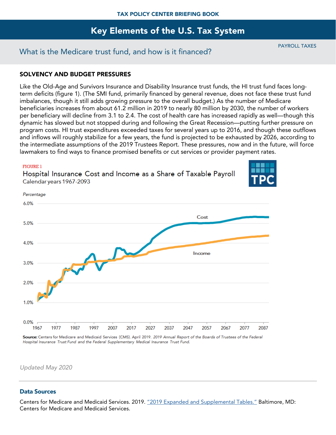## What is the Medicare trust fund, and how is it financed?

PAYROLL TAXES

### SOLVENCY AND BUDGET PRESSURES

Like the Old-Age and Survivors Insurance and Disability Insurance trust funds, the HI trust fund faces longterm deficits (figure 1). (The SMI fund, primarily financed by general revenue, does not face these trust fund imbalances, though it still adds growing pressure to the overall budget.) As the number of Medicare beneficiaries increases from about 61.2 million in 2019 to nearly 80 million by 2030, the number of workers per beneficiary will decline from 3.1 to 2.4. The cost of health care has increased rapidly as well—though this dynamic has slowed but not stopped during and following the Great Recession—putting further pressure on program costs. HI trust expenditures exceeded taxes for several years up to 2016, and though these outflows and inflows will roughly stabilize for a few years, the fund is projected to be exhausted by 2026, according to the intermediate assumptions of the 2019 Trustees Report. These pressures, now and in the future, will force lawmakers to find ways to finance promised benefits or cut services or provider payment rates.

#### **FIGURE 1**

Percentage

Hospital Insurance Cost and Income as a Share of Taxable Payroll Calendar years 1967-2093





Source: Centers for Medicare and Medicaid Services (CMS). April 2019. 2019 Annual Report of the Boards of Trustees of the Federal Hospital Insurance Trust Fund and the Federal Supplementary Medical Insurance Trust Fund.

*Updated May 2020*

### Data Sources

Centers for Medicare and Medicaid Services. 2019. "2019 [Expanded and Supplemental Tables."](https://www.cms.gov/Research-Statistics-Data-and-Systems/Statistics-Trends-and-Reports/ReportsTrustFunds/Downloads/TR2019-Tables-Figures.zip) Baltimore, MD: Centers for Medicare and Medicaid Services.